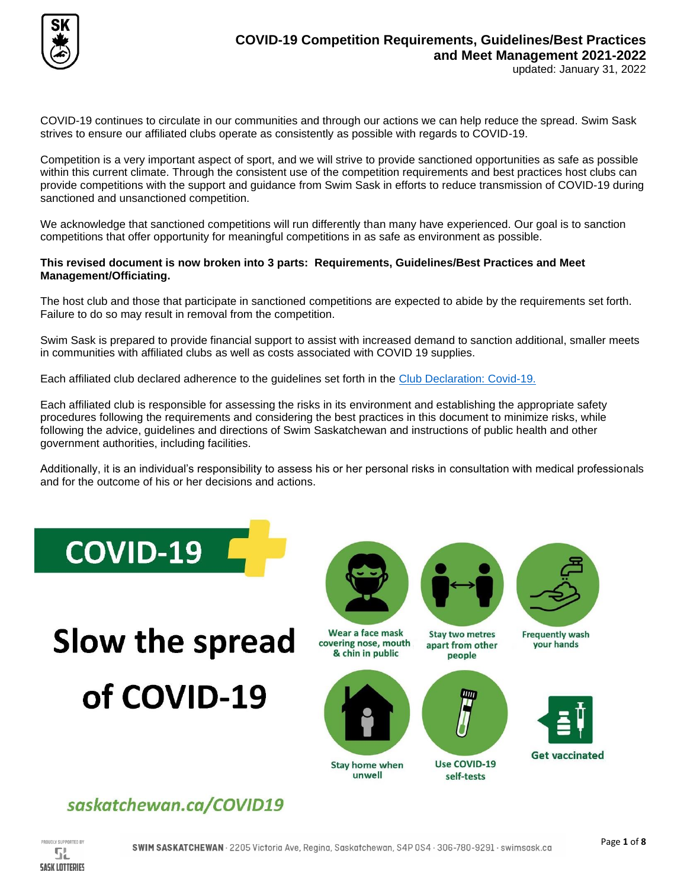

COVID-19 continues to circulate in our communities and through our actions we can help reduce the spread. Swim Sask strives to ensure our affiliated clubs operate as consistently as possible with regards to COVID-19.

Competition is a very important aspect of sport, and we will strive to provide sanctioned opportunities as safe as possible within this current climate. Through the consistent use of the competition requirements and best practices host clubs can provide competitions with the support and guidance from Swim Sask in efforts to reduce transmission of COVID-19 during sanctioned and unsanctioned competition.

We acknowledge that sanctioned competitions will run differently than many have experienced. Our goal is to sanction competitions that offer opportunity for meaningful competitions in as safe as environment as possible.

#### **This revised document is now broken into 3 parts: Requirements, Guidelines/Best Practices and Meet Management/Officiating.**

The host club and those that participate in sanctioned competitions are expected to abide by the requirements set forth. Failure to do so may result in removal from the competition.

Swim Sask is prepared to provide financial support to assist with increased demand to sanction additional, smaller meets in communities with affiliated clubs as well as costs associated with COVID 19 supplies.

Each affiliated club declared adherence to the guidelines set forth in the [Club Declaration: Covid-19.](http://www.swimsask.ca/about-us/pdf/Club-Declaration-Covid-19.pdf) 

Each affiliated club is responsible for assessing the risks in its environment and establishing the appropriate safety procedures following the requirements and considering the best practices in this document to minimize risks, while following the advice, guidelines and directions of Swim Saskatchewan and instructions of public health and other government authorities, including facilities.

Additionally, it is an individual's responsibility to assess his or her personal risks in consultation with medical professionals and for the outcome of his or her decisions and actions.



# saskatchewan.ca/COVID19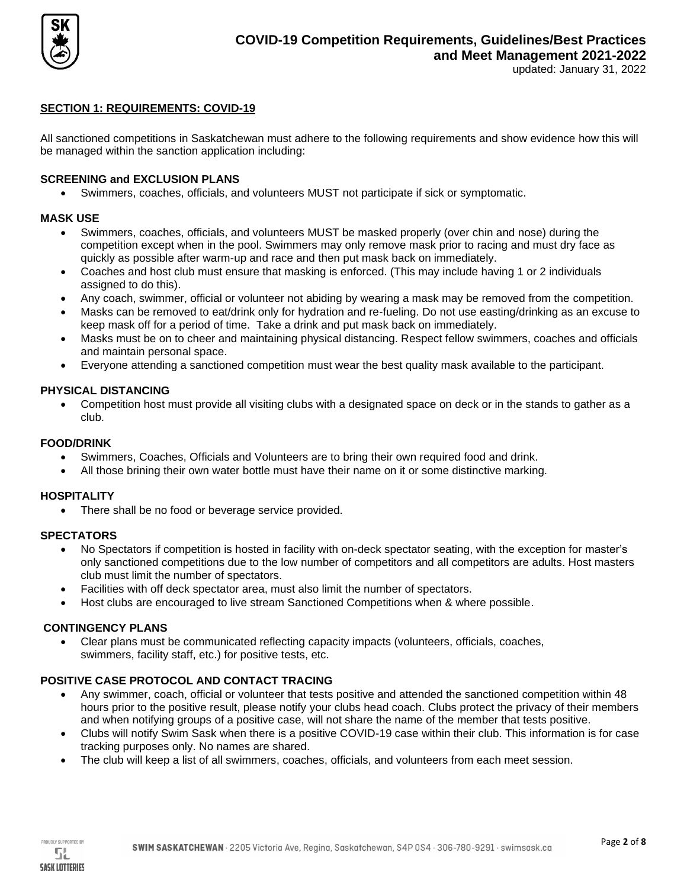

#### **SECTION 1: REQUIREMENTS: COVID-19**

All sanctioned competitions in Saskatchewan must adhere to the following requirements and show evidence how this will be managed within the sanction application including:

#### **SCREENING and EXCLUSION PLANS**

• Swimmers, coaches, officials, and volunteers MUST not participate if sick or symptomatic.

#### **MASK USE**

- Swimmers, coaches, officials, and volunteers MUST be masked properly (over chin and nose) during the competition except when in the pool. Swimmers may only remove mask prior to racing and must dry face as quickly as possible after warm-up and race and then put mask back on immediately.
- Coaches and host club must ensure that masking is enforced. (This may include having 1 or 2 individuals assigned to do this).
- Any coach, swimmer, official or volunteer not abiding by wearing a mask may be removed from the competition.
- Masks can be removed to eat/drink only for hydration and re-fueling. Do not use easting/drinking as an excuse to keep mask off for a period of time. Take a drink and put mask back on immediately.
- Masks must be on to cheer and maintaining physical distancing. Respect fellow swimmers, coaches and officials and maintain personal space.
- Everyone attending a sanctioned competition must wear the best quality mask available to the participant.

#### **PHYSICAL DISTANCING**

• Competition host must provide all visiting clubs with a designated space on deck or in the stands to gather as a club.

#### **FOOD/DRINK**

- Swimmers, Coaches, Officials and Volunteers are to bring their own required food and drink.
- All those brining their own water bottle must have their name on it or some distinctive marking.

#### **HOSPITALITY**

• There shall be no food or beverage service provided.

#### **SPECTATORS**

- No Spectators if competition is hosted in facility with on-deck spectator seating, with the exception for master's only sanctioned competitions due to the low number of competitors and all competitors are adults. Host masters club must limit the number of spectators.
- Facilities with off deck spectator area, must also limit the number of spectators.
- Host clubs are encouraged to live stream Sanctioned Competitions when & where possible.

#### **CONTINGENCY PLANS**

• Clear plans must be communicated reflecting capacity impacts (volunteers, officials, coaches, swimmers, facility staff, etc.) for positive tests, etc.

#### **POSITIVE CASE PROTOCOL AND CONTACT TRACING**

- Any swimmer, coach, official or volunteer that tests positive and attended the sanctioned competition within 48 hours prior to the positive result, please notify your clubs head coach. Clubs protect the privacy of their members and when notifying groups of a positive case, will not share the name of the member that tests positive.
- Clubs will notify Swim Sask when there is a positive COVID-19 case within their club. This information is for case tracking purposes only. No names are shared.
- The club will keep a list of all swimmers, coaches, officials, and volunteers from each meet session.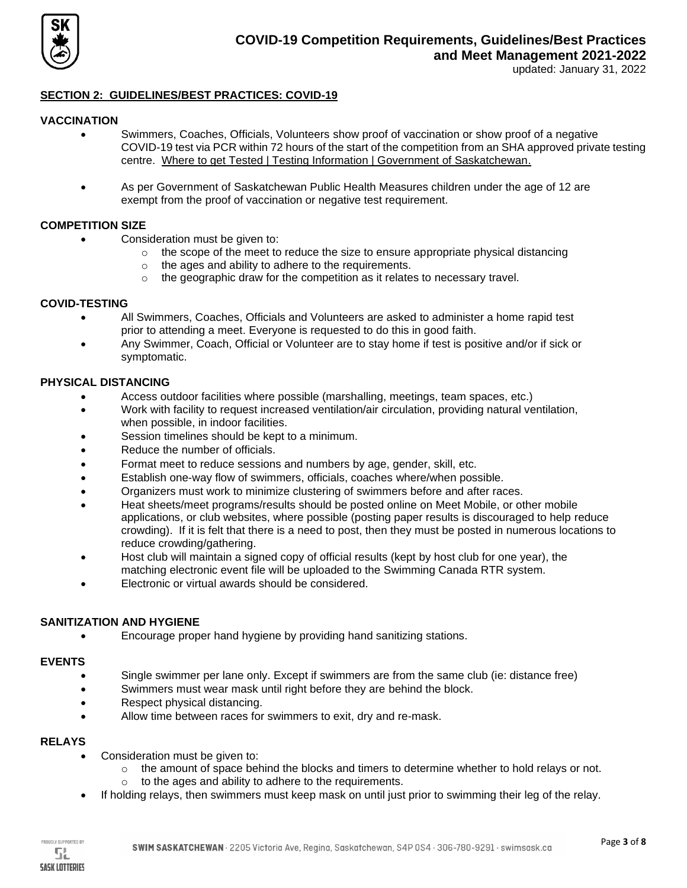

### **SECTION 2: GUIDELINES/BEST PRACTICES: COVID-19**

#### **VACCINATION**

- Swimmers, Coaches, Officials, Volunteers show proof of vaccination or show proof of a negative COVID-19 test via PCR within 72 hours of the start of the competition from an SHA approved private testing centre. [Where to get Tested | Testing Information | Government of Saskatchewan.](https://can01.safelinks.protection.outlook.com/?url=https%3A%2F%2Fwww.saskatchewan.ca%2Fgovernment%2Fhealth-care-administration-and-provider-resources%2Ftreatment-procedures-and-guidelines%2Femerging-public-health-issues%2F2019-novel-coronavirus%2Ftesting-information%2Fwhere%23private-testing-providers&data=04%7C01%7CRJohns%40mjpolice.ca%7Cd4a8283bf81940f34aab08d9cf9a7ece%7C4dc79fdb15364bb5a3744d74923197d4%7C0%7C0%7C637769084720481898%7CUnknown%7CTWFpbGZsb3d8eyJWIjoiMC4wLjAwMDAiLCJQIjoiV2luMzIiLCJBTiI6Ik1haWwiLCJXVCI6Mn0%3D%7C3000&sdata=5NwR1qQY6SSswqN6FehnYezE59QEhCqwJLkS9tAF9p4%3D&reserved=0)
- As per Government of Saskatchewan Public Health Measures children under the age of 12 are exempt from the proof of vaccination or negative test requirement.

#### **COMPETITION SIZE**

- Consideration must be given to:
	- $\circ$  the scope of the meet to reduce the size to ensure appropriate physical distancing
	- o the ages and ability to adhere to the requirements.
	- o the geographic draw for the competition as it relates to necessary travel.

#### **COVID-TESTING**

- All Swimmers, Coaches, Officials and Volunteers are asked to administer a home rapid test prior to attending a meet. Everyone is requested to do this in good faith.
- Any Swimmer, Coach, Official or Volunteer are to stay home if test is positive and/or if sick or symptomatic.

#### **PHYSICAL DISTANCING**

- Access outdoor facilities where possible (marshalling, meetings, team spaces, etc.)
- Work with facility to request increased ventilation/air circulation, providing natural ventilation, when possible, in indoor facilities.
- Session timelines should be kept to a minimum.
- Reduce the number of officials.
- Format meet to reduce sessions and numbers by age, gender, skill, etc.
- Establish one-way flow of swimmers, officials, coaches where/when possible.
- Organizers must work to minimize clustering of swimmers before and after races.
- Heat sheets/meet programs/results should be posted online on Meet Mobile, or other mobile applications, or club websites, where possible (posting paper results is discouraged to help reduce crowding). If it is felt that there is a need to post, then they must be posted in numerous locations to reduce crowding/gathering.
- Host club will maintain a signed copy of official results (kept by host club for one year), the matching electronic event file will be uploaded to the Swimming Canada RTR system.
- Electronic or virtual awards should be considered.

#### **SANITIZATION AND HYGIENE**

• Encourage proper hand hygiene by providing hand sanitizing stations.

#### **EVENTS**

- Single swimmer per lane only. Except if swimmers are from the same club (ie: distance free)
- Swimmers must wear mask until right before they are behind the block.
- Respect physical distancing.
- Allow time between races for swimmers to exit, dry and re-mask.

#### **RELAYS**

- Consideration must be given to:
	- $\circ$  the amount of space behind the blocks and timers to determine whether to hold relays or not.
	- o to the ages and ability to adhere to the requirements.
- If holding relays, then swimmers must keep mask on until just prior to swimming their leg of the relay.

OUDLY SUPPORTED BY SŁ **SASK LOTTERIES**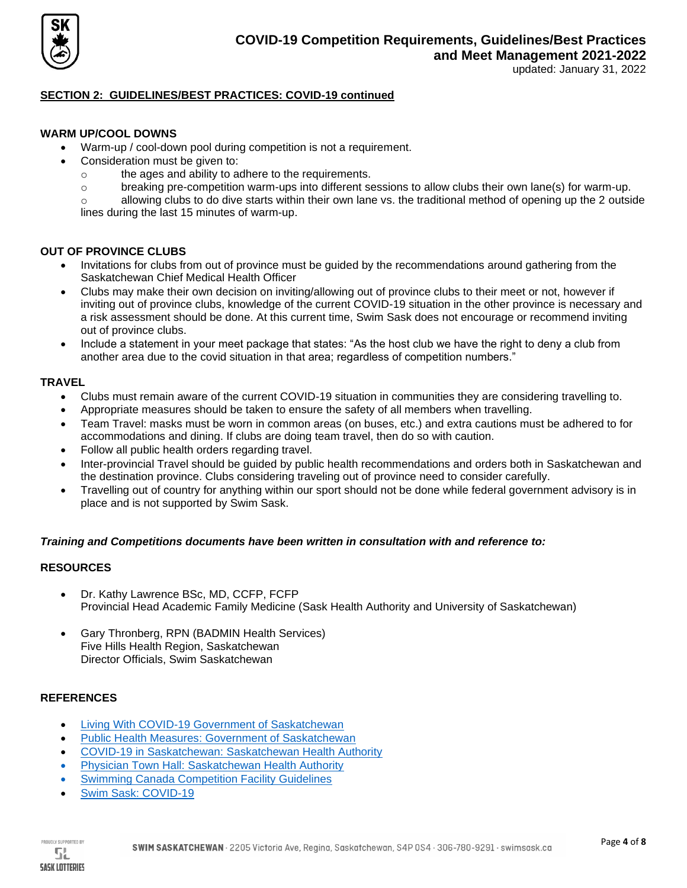

### **SECTION 2: GUIDELINES/BEST PRACTICES: COVID-19 continued**

#### **WARM UP/COOL DOWNS**

- Warm-up / cool-down pool during competition is not a requirement.
- Consideration must be given to:
	- o the ages and ability to adhere to the requirements.
	- $\circ$  breaking pre-competition warm-ups into different sessions to allow clubs their own lane(s) for warm-up.

 $\circ$  allowing clubs to do dive starts within their own lane vs. the traditional method of opening up the 2 outside lines during the last 15 minutes of warm-up.

#### **OUT OF PROVINCE CLUBS**

- Invitations for clubs from out of province must be guided by the recommendations around gathering from the Saskatchewan Chief Medical Health Officer
- Clubs may make their own decision on inviting/allowing out of province clubs to their meet or not, however if inviting out of province clubs, knowledge of the current COVID-19 situation in the other province is necessary and a risk assessment should be done. At this current time, Swim Sask does not encourage or recommend inviting out of province clubs.
- Include a statement in your meet package that states: "As the host club we have the right to deny a club from another area due to the covid situation in that area; regardless of competition numbers."

#### **TRAVEL**

- Clubs must remain aware of the current COVID-19 situation in communities they are considering travelling to.
- Appropriate measures should be taken to ensure the safety of all members when travelling.
- Team Travel: masks must be worn in common areas (on buses, etc.) and extra cautions must be adhered to for accommodations and dining. If clubs are doing team travel, then do so with caution.
- Follow all public health orders regarding travel.
- Inter-provincial Travel should be guided by public health recommendations and orders both in Saskatchewan and the destination province. Clubs considering traveling out of province need to consider carefully.
- Travelling out of country for anything within our sport should not be done while federal government advisory is in place and is not supported by Swim Sask.

#### *Training and Competitions documents have been written in consultation with and reference to:*

### **RESOURCES**

- Dr. Kathy Lawrence BSc, MD, CCFP, FCFP Provincial Head Academic Family Medicine (Sask Health Authority and University of Saskatchewan)
- Gary Thronberg, RPN (BADMIN Health Services) Five Hills Health Region, Saskatchewan Director Officials, Swim Saskatchewan

### **REFERENCES**

- [Living With COVID-19 Government of Saskatchewan](https://www.saskatchewan.ca/government/health-care-administration-and-provider-resources/treatment-procedures-and-guidelines/emerging-public-health-issues/2019-novel-coronavirus/living-with-covid-19)
- [Public Health Measures: Government of Saskatchewan](https://www.saskatchewan.ca/government/health-care-administration-and-provider-resources/treatment-procedures-and-guidelines/emerging-public-health-issues/2019-novel-coronavirus/public-health-measures)
- [COVID-19 in Saskatchewan: Saskatchewan Health Authority](https://www.saskhealthauthority.ca/your-health/conditions-diseases-services/covid-19-saskatchewan)
- [Physician Town Hall: Saskatchewan Health Authority](https://www.saskhealthauthority.ca/intranet/medical-staff/physician-town-halls)
- **[Swimming Canada Competition Facility Guidelines](https://www.swimming.ca/en/resources/facilities/facility-series/)**
- [Swim Sask: COVID-19](http://www.swimsask.ca/news/covid-19.html)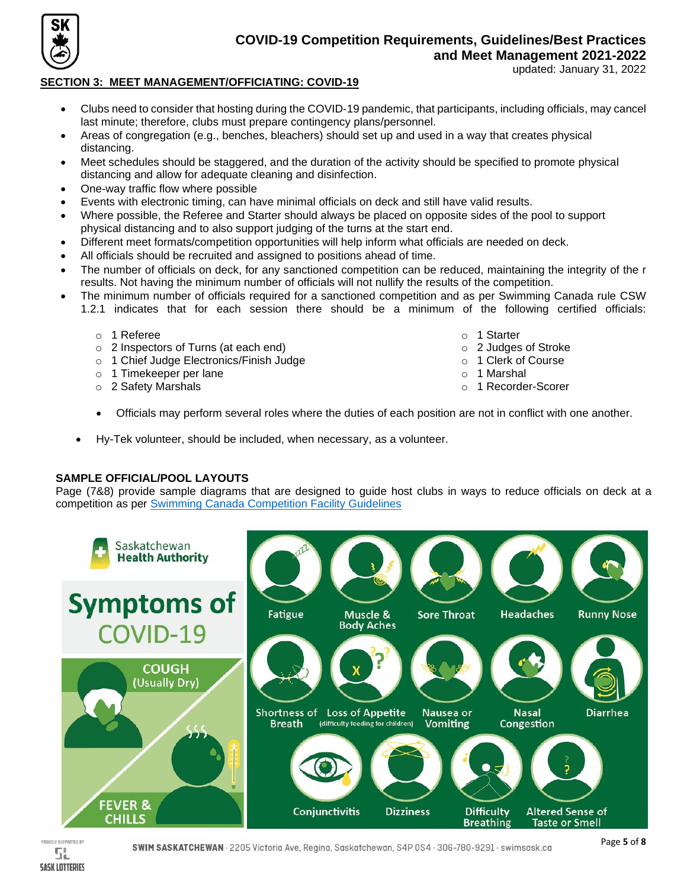

## **COVID-19 Competition Requirements, Guidelines/Best Practices**

**and Meet Management 2021-2022**

updated: January 31, 2022

### **SECTION 3: MEET MANAGEMENT/OFFICIATING: COVID-19**

- Clubs need to consider that hosting during the COVID-19 pandemic, that participants, including officials, may cancel last minute; therefore, clubs must prepare contingency plans/personnel.
- Areas of congregation (e.g., benches, bleachers) should set up and used in a way that creates physical distancing.
- Meet schedules should be staggered, and the duration of the activity should be specified to promote physical distancing and allow for adequate cleaning and disinfection.
- One-way traffic flow where possible
- Events with electronic timing, can have minimal officials on deck and still have valid results.
- Where possible, the Referee and Starter should always be placed on opposite sides of the pool to support physical distancing and to also support judging of the turns at the start end.
- Different meet formats/competition opportunities will help inform what officials are needed on deck.
- All officials should be recruited and assigned to positions ahead of time.
- The number of officials on deck, for any sanctioned competition can be reduced, maintaining the integrity of the r results. Not having the minimum number of officials will not nullify the results of the competition.
- The minimum number of officials required for a sanctioned competition and as per Swimming Canada rule CSW 1.2.1 indicates that for each session there should be a minimum of the following certified officials:
	- o 1 Referee
	- o 2 Inspectors of Turns (at each end)
	- o 1 Chief Judge Electronics/Finish Judge
	- o 1 Timekeeper per lane
	- o 2 Safety Marshals
- o 1 Starter
- o 2 Judges of Stroke
- o 1 Clerk of Course
- o 1 Marshal
- o 1 Recorder-Scorer
- Officials may perform several roles where the duties of each position are not in conflict with one another.
- Hy-Tek volunteer, should be included, when necessary, as a volunteer.

### **SAMPLE OFFICIAL/POOL LAYOUTS**

Page (7&8) provide sample diagrams that are designed to guide host clubs in ways to reduce officials on deck at a competition as per [Swimming Canada Competition Facility Guidelines](https://www.swimming.ca/en/resources/facilities/facility-series/)





SWIM SASKATCHEWAN · 2205 Victoria Ave, Regina, Saskatchewan, S4P 0S4 · 306-780-9291 · swimsask.ca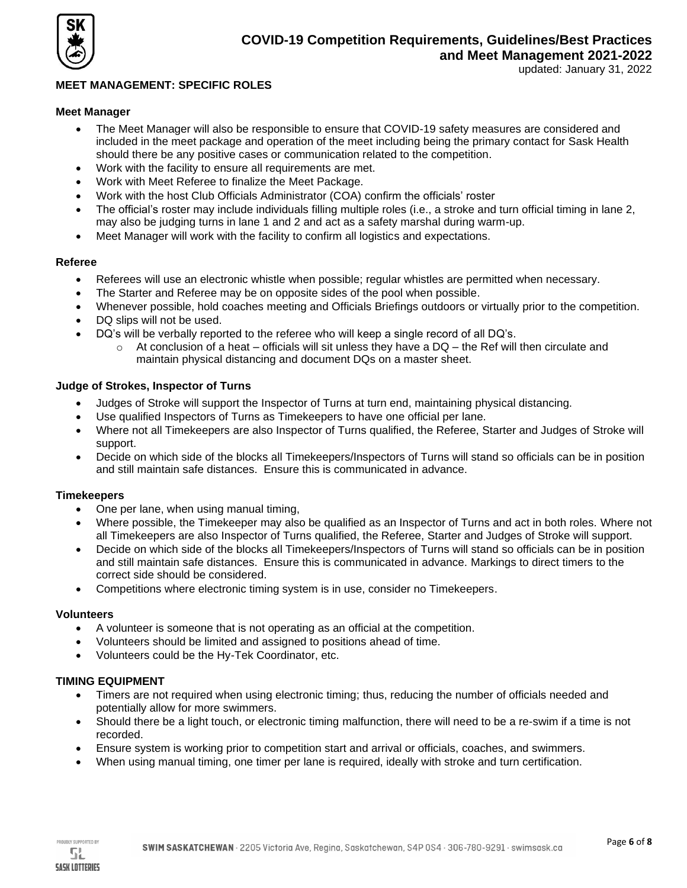

#### **MEET MANAGEMENT: SPECIFIC ROLES**

#### **Meet Manager**

- The Meet Manager will also be responsible to ensure that COVID-19 safety measures are considered and included in the meet package and operation of the meet including being the primary contact for Sask Health should there be any positive cases or communication related to the competition.
- Work with the facility to ensure all requirements are met.
- Work with Meet Referee to finalize the Meet Package.
- Work with the host Club Officials Administrator (COA) confirm the officials' roster
- The official's roster may include individuals filling multiple roles (i.e., a stroke and turn official timing in lane 2, may also be judging turns in lane 1 and 2 and act as a safety marshal during warm-up.
- Meet Manager will work with the facility to confirm all logistics and expectations.

#### **Referee**

- Referees will use an electronic whistle when possible; regular whistles are permitted when necessary.
- The Starter and Referee may be on opposite sides of the pool when possible.
- Whenever possible, hold coaches meeting and Officials Briefings outdoors or virtually prior to the competition.
- DQ slips will not be used.
- DQ's will be verbally reported to the referee who will keep a single record of all DQ's.
	- $\circ$  At conclusion of a heat officials will sit unless they have a DQ the Ref will then circulate and maintain physical distancing and document DQs on a master sheet.

#### **Judge of Strokes, Inspector of Turns**

- Judges of Stroke will support the Inspector of Turns at turn end, maintaining physical distancing.
- Use qualified Inspectors of Turns as Timekeepers to have one official per lane.
- Where not all Timekeepers are also Inspector of Turns qualified, the Referee, Starter and Judges of Stroke will support.
- Decide on which side of the blocks all Timekeepers/Inspectors of Turns will stand so officials can be in position and still maintain safe distances. Ensure this is communicated in advance.

#### **Timekeepers**

- One per lane, when using manual timing,
- Where possible, the Timekeeper may also be qualified as an Inspector of Turns and act in both roles. Where not all Timekeepers are also Inspector of Turns qualified, the Referee, Starter and Judges of Stroke will support.
- Decide on which side of the blocks all Timekeepers/Inspectors of Turns will stand so officials can be in position and still maintain safe distances. Ensure this is communicated in advance. Markings to direct timers to the correct side should be considered.
- Competitions where electronic timing system is in use, consider no Timekeepers.

#### **Volunteers**

- A volunteer is someone that is not operating as an official at the competition.
- Volunteers should be limited and assigned to positions ahead of time.
- Volunteers could be the Hy-Tek Coordinator, etc.

#### **TIMING EQUIPMENT**

- Timers are not required when using electronic timing; thus, reducing the number of officials needed and potentially allow for more swimmers.
- Should there be a light touch, or electronic timing malfunction, there will need to be a re-swim if a time is not recorded.
- Ensure system is working prior to competition start and arrival or officials, coaches, and swimmers.
- When using manual timing, one timer per lane is required, ideally with stroke and turn certification.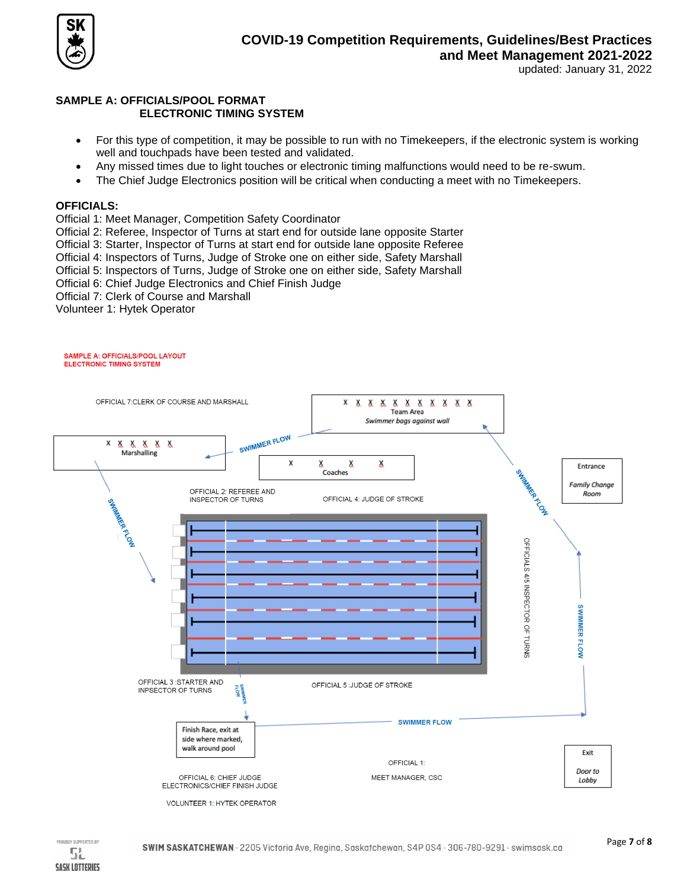

#### **SAMPLE A: OFFICIALS/POOL FORMAT ELECTRONIC TIMING SYSTEM**

- For this type of competition, it may be possible to run with no Timekeepers, if the electronic system is working well and touchpads have been tested and validated.
- Any missed times due to light touches or electronic timing malfunctions would need to be re-swum.
- The Chief Judge Electronics position will be critical when conducting a meet with no Timekeepers.

#### **OFFICIALS:**

- Official 1: Meet Manager, Competition Safety Coordinator
- Official 2: Referee, Inspector of Turns at start end for outside lane opposite Starter
- Official 3: Starter, Inspector of Turns at start end for outside lane opposite Referee
- Official 4: Inspectors of Turns, Judge of Stroke one on either side, Safety Marshall
- Official 5: Inspectors of Turns, Judge of Stroke one on either side, Safety Marshall
- Official 6: Chief Judge Electronics and Chief Finish Judge
- Official 7: Clerk of Course and Marshall
- Volunteer 1: Hytek Operator

#### **SAMPLE A: OFFICIALS/POOL LAYOUT ELECTRONIC TIMING SYSTEM**